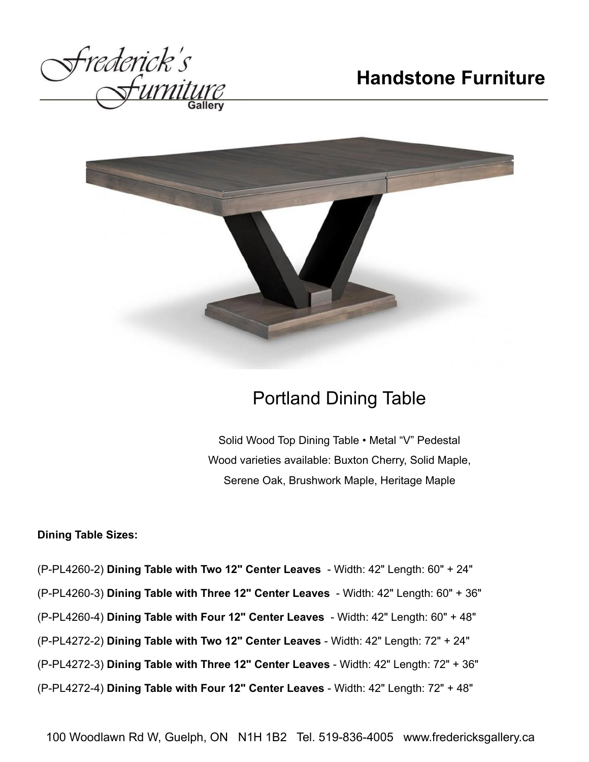



## Portland Dining Table

Solid Wood Top Dining Table • Metal "V" Pedestal Wood varieties available: Buxton Cherry, Solid Maple, Serene Oak, Brushwork Maple, Heritage Maple

## **Dining Table Sizes:**

(P-PL4260-2) **Dining Table with Two 12" Center Leaves** - Width: 42" Length: 60" + 24" (P-PL4260-3) **Dining Table with Three 12" Center Leaves** - Width: 42" Length: 60" + 36" (P-PL4260-4) **Dining Table with Four 12" Center Leaves** - Width: 42" Length: 60" + 48" (P-PL4272-2) **Dining Table with Two 12" Center Leaves** - Width: 42" Length: 72" + 24" (P-PL4272-3) **Dining Table with Three 12" Center Leaves** - Width: 42" Length: 72" + 36" (P-PL4272-4) **Dining Table with Four 12" Center Leaves** - Width: 42" Length: 72" + 48"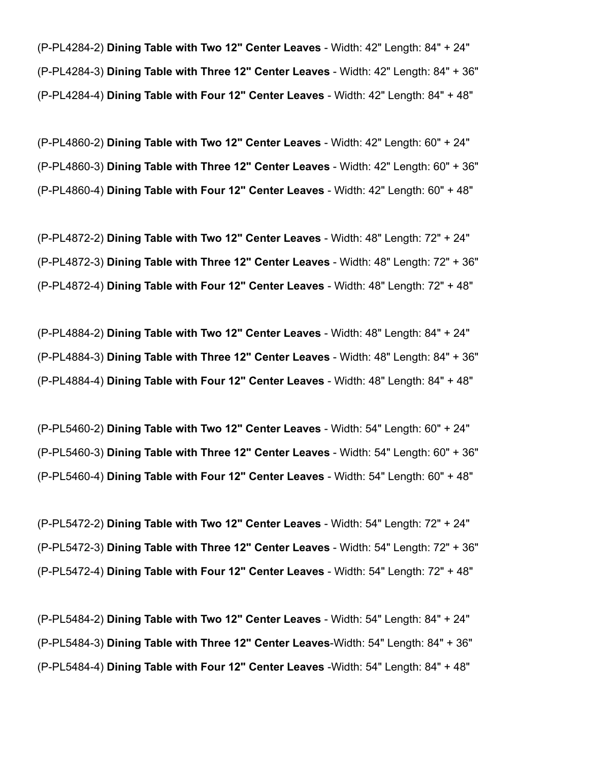(P-PL4284-2) **Dining Table with Two 12" Center Leaves** - Width: 42" Length: 84" + 24" (P-PL4284-3) **Dining Table with Three 12" Center Leaves** - Width: 42" Length: 84" + 36" (P-PL4284-4) **Dining Table with Four 12" Center Leaves** - Width: 42" Length: 84" + 48"

(P-PL4860-2) **Dining Table with Two 12" Center Leaves** - Width: 42" Length: 60" + 24" (P-PL4860-3) **Dining Table with Three 12" Center Leaves** - Width: 42" Length: 60" + 36" (P-PL4860-4) **Dining Table with Four 12" Center Leaves** - Width: 42" Length: 60" + 48"

(P-PL4872-2) **Dining Table with Two 12" Center Leaves** - Width: 48" Length: 72" + 24" (P-PL4872-3) **Dining Table with Three 12" Center Leaves** - Width: 48" Length: 72" + 36" (P-PL4872-4) **Dining Table with Four 12" Center Leaves** - Width: 48" Length: 72" + 48"

(P-PL4884-2) **Dining Table with Two 12" Center Leaves** - Width: 48" Length: 84" + 24" (P-PL4884-3) **Dining Table with Three 12" Center Leaves** - Width: 48" Length: 84" + 36" (P-PL4884-4) **Dining Table with Four 12" Center Leaves** - Width: 48" Length: 84" + 48"

(P-PL5460-2) **Dining Table with Two 12" Center Leaves** - Width: 54" Length: 60" + 24" (P-PL5460-3) **Dining Table with Three 12" Center Leaves** - Width: 54" Length: 60" + 36" (P-PL5460-4) **Dining Table with Four 12" Center Leaves** - Width: 54" Length: 60" + 48"

(P-PL5472-2) **Dining Table with Two 12" Center Leaves** - Width: 54" Length: 72" + 24" (P-PL5472-3) **Dining Table with Three 12" Center Leaves** - Width: 54" Length: 72" + 36" (P-PL5472-4) **Dining Table with Four 12" Center Leaves** - Width: 54" Length: 72" + 48"

(P-PL5484-2) **Dining Table with Two 12" Center Leaves** - Width: 54" Length: 84" + 24" (P-PL5484-3) **Dining Table with Three 12" Center Leaves**-Width: 54" Length: 84" + 36" (P-PL5484-4) **Dining Table with Four 12" Center Leaves** -Width: 54" Length: 84" + 48"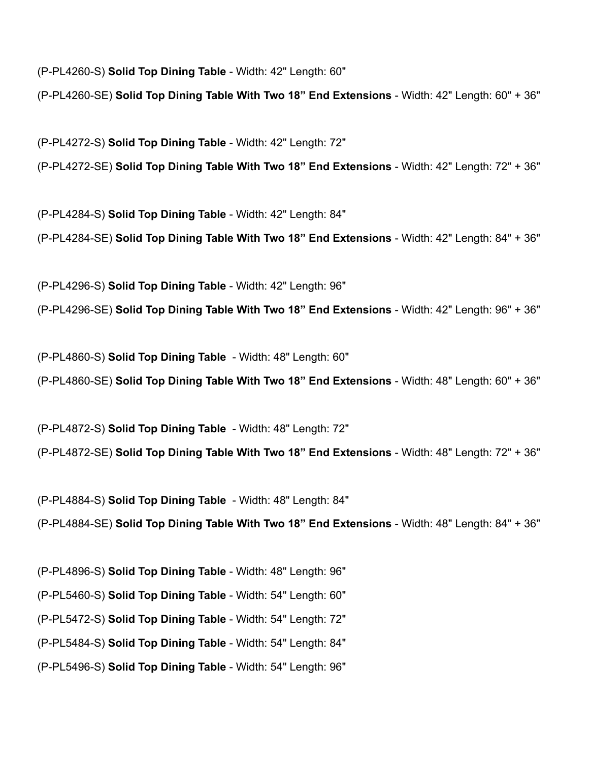(P-PL4260-S) **Solid Top Dining Table** - Width: 42" Length: 60"

(P-PL4260-SE) **Solid Top Dining Table With Two 18" End Extensions** - Width: 42" Length: 60" + 36"

(P-PL4272-S) **Solid Top Dining Table** - Width: 42" Length: 72"

(P-PL4272-SE) **Solid Top Dining Table With Two 18" End Extensions** - Width: 42" Length: 72" + 36"

(P-PL4284-S) **Solid Top Dining Table** - Width: 42" Length: 84"

(P-PL4284-SE) **Solid Top Dining Table With Two 18" End Extensions** - Width: 42" Length: 84" + 36"

(P-PL4296-S) **Solid Top Dining Table** - Width: 42" Length: 96"

(P-PL4296-SE) **Solid Top Dining Table With Two 18" End Extensions** - Width: 42" Length: 96" + 36"

(P-PL4860-S) **Solid Top Dining Table** - Width: 48" Length: 60"

(P-PL4860-SE) **Solid Top Dining Table With Two 18" End Extensions** - Width: 48" Length: 60" + 36"

(P-PL4872-S) **Solid Top Dining Table** - Width: 48" Length: 72" (P-PL4872-SE) **Solid Top Dining Table With Two 18" End Extensions** - Width: 48" Length: 72" + 36"

(P-PL4884-S) **Solid Top Dining Table** - Width: 48" Length: 84" (P-PL4884-SE) **Solid Top Dining Table With Two 18" End Extensions** - Width: 48" Length: 84" + 36"

(P-PL4896-S) **Solid Top Dining Table** - Width: 48" Length: 96" (P-PL5460-S) **Solid Top Dining Table** - Width: 54" Length: 60" (P-PL5472-S) **Solid Top Dining Table** - Width: 54" Length: 72" (P-PL5484-S) **Solid Top Dining Table** - Width: 54" Length: 84" (P-PL5496-S) **Solid Top Dining Table** - Width: 54" Length: 96"